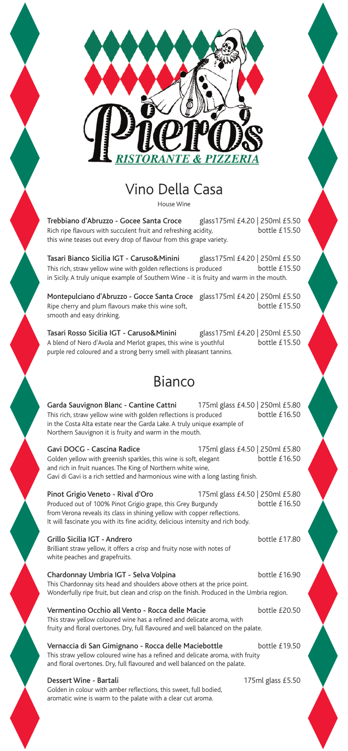

## Vino Della Casa

House Wine

Trebbiano d'Abruzzo - Gocee Santa Croce glass175ml £4.20 | 250ml £5.50<br>Rich ripe flavours with succulent fruit and refreshing acidity. bottle £15.50 Rich ripe flavours with succulent fruit and refreshing acidity, this wine teases out every drop of flavour from this grape variety.

Tasari Bianco Sicilia IGT - Caruso&Minini glass175ml £4.20 | 250ml £5.50<br>This rich, straw yellow wine with golden reflections is produced bottle £15.50 This rich, straw yellow wine with golden reflections is produced in Sicily.A truly unique example of Southern Wine - it is fruity and warm in the mouth.

Montepulciano d'Abruzzo - Gocce Santa Croce glass175ml £4.20 | 250ml £5.50<br>Ripe cherry and plum flavours make this wine soft, bottle £15.50 Ripe cherry and plum flavours make this wine soft, smooth and easy drinking.

Tasari Rosso Sicilia IGT - Caruso&Minini glass175ml £4.20 | 250ml £5.50<br>A blend of Nero d'Avola and Merlot grapes, this wine is youthful bottle £15.50 A blend of Nero d'Avola and Merlot grapes, this wine is youthful purple red coloured and a strong berry smell with pleasant tannins.

## Bianco

Garda Sauvignon Blanc - Cantine Cattni 175ml glass £4.50 | 250ml £5.80 This rich, straw yellow wine with golden reflections is produced bottle £16.50 in the Costa Alta estate near the Garda Lake.A truly unique example of Northern Sauvignon it is fruity and warm in the mouth.

Gavi DOCG - Cascina Radice 175ml glass £4.50 | 250ml £5.80 Golden yellow with greenish sparkles, this wine is soft, elegant bottle £16.50 and rich in fruit nuances. The King of Northern white wine, Gavi di Gavi is a rich settled and harmonious wine with a long lasting finish.

Pinot Grigio Veneto - Rival d'Oro 175ml glass £4.50 | 250ml £5.80 Produced out of 100% Pinot Grigio grape, this Grey Burgundy from Verona reveals its class in shining yellow with copper reflections. It will fascinate you with its fine acidity, delicious intensity and rich body.

Grillo Sicilia IGT - Andrero bottle £17.80 Brilliant straw yellow, it offers a crisp and fruity nose with notes of white peaches and grapefruits.

Chardonnay Umbria IGT - Selva Volpina bottle £16.90 This Chardonnay sits head and shoulders above others at the price point. Wonderfully ripe fruit, but clean and crisp on the finish. Produced in the Umbria region.

Vermentino Occhio all Vento - Rocca delle Macie bottle £20.50

This straw yellow coloured wine has a refined and delicate aroma, with fruity and floral overtones. Dry, full flavoured and well balanced on the palate.

Vernaccia di San Gimignano - Rocca delle Maciebottle bottle £19.50

This straw yellow coloured wine has a refined and delicate aroma, with fruity and floral overtones. Dry, full flavoured and well balanced on the palate.

## Dessert Wine - Bartali 175ml glass £5.50

Golden in colour with amber reflections, this sweet, full bodied, aromatic wine is warm to the palate with a clear cut aroma.